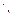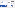# Plan Your Work

### How to Identify the Interested and Affected Public

- Familiarize yourself with the community, its history, groups, and issues related to your involvement activities.
- Research how the community and affected public receive information and learn which sources they trust (social, civic or faith-based groups, events, or media such as newspapers, TV, radio or the Internet).
- Contact community groups and leaders, individual stakeholders, experts, local officials, environmental organizations, and tribes to measure interest in the program issues and involvement activities and to request help reaching their members and others they believe might have interest.
- Communicate with other agencies and EPA staff who may have worked on similar public involvement activities or with similar audiences to obtain their advice and help reach people and organizations.
- Look at past decision documents (environmental impact statements and grants).
- Look at local directories and public records.
- Contact people and groups that hold all views, including

The Website for the "Internet Dialogue on Public Involvement in EPA Decisions" is <u>http://www.network-democracy.org/epa-pip</u>

Step 2: Identify the Interested and Affected **Public** 

> those likely to challenge the Agency's practices.

- Consider using a neutral party to find and communicate with those who may be interested in an issue, especially when the issue is controversial.
- Go out into the community and search for groups and individuals, as the people most affected are often the least visible.
- Respect local work schedules when finding people and planning contacts. Be prepared to call or visit at different times to reach key people.

## More Information about the Policy

Copies of the Policy and the Framework for implementing it are available at http://www.epa.gov/publicinvolvement/policy2003/ policy2003.pdf and http://www.epa.gov/publicinvolvement/policy2003/ framework.pdf

EPA's Response to Comments on the Draft 2000 Public Involvement Policy is available at http://www.epa.gov/public involvement/policy2003/response.pdf

How to Identify People to Involve



Involvement brings the pieces together



z ш

#### Goal:

- To identify groups or individuals who may have an interest in, or who may, because of their location, purposes, or activities, be affected by or interested in an upcoming EPA activity or action

The U.S. Environmental Protection Agency (EPA) issued its new Public Involvement Policy in June 2003. The Policy's overall goal is for excellent public involvement to become an integral part of EPA's culture, thus supporting more effective Agency decisions and actions.

The Policy provides guidance to EPA managers and staff on how you can better involve the public in the Agency's decision making. The Policy outlines seven steps to effective involvement. This brochure (one in a series) offers suggestions to help you "get started" identifying the interested and affected people who should have the opportunity to engage in your activities and processes.

### Why Identify the Interested and Affected Public?

Identifying the interested and affected public is the cornerstone of public involvement processes. Get this step right and everything else will be easier; get it wrong and your process will fail. If you have the wrong people join in, you'll gather incomplete information, miss critical input, and end with a decision that you cannot carry out.

This step enables EPA to have direct exchanges of information, feedback, and involvement with people our decisions may affect. It helps EPA to base its decisions on the best available information and feedback and sets the conditions for the effective use of limited time and resources.

"Community-based organizations are essential to identify and get the community involved. EPA has to work with communitysupported organizations if you really want involvement."

Connie Tucker, Southern Organizing Committee for Economic and Social Justice Dialogue on Public Involvement in EPA Decisions EPA 233-F-03-006

"Involvement brings the pieces together" artwork is the creation of Erica Ann Turner, who contributed the work through an agreement between the Art Institute of Washington and EPA.

United States Environmental Protection Agency National Center for Environmental Innovation Public Involvement Staff 1200 Pennsylvania Avenue, NW 1807T Washington, DC 20460



- Find the Affected **Audience**
- Do research
- Communicate
- Publicize
- Use alternative languages & media
- Build contacts and partnerships
- Circulate & maintain network